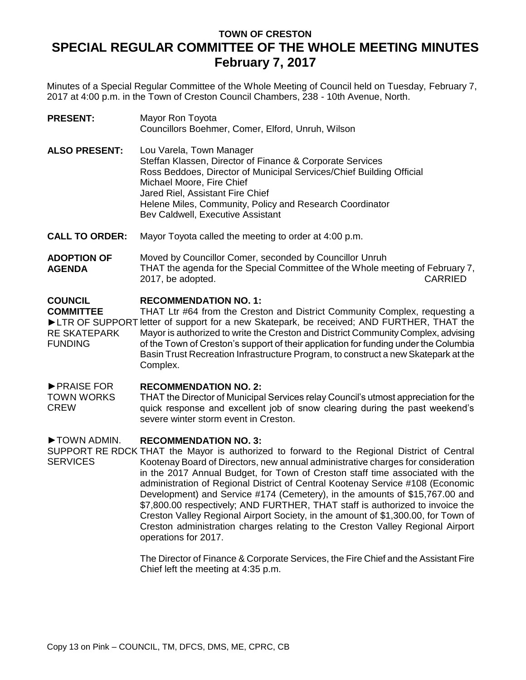## **TOWN OF CRESTON SPECIAL REGULAR COMMITTEE OF THE WHOLE MEETING MINUTES February 7, 2017**

Minutes of a Special Regular Committee of the Whole Meeting of Council held on Tuesday, February 7, 2017 at 4:00 p.m. in the Town of Creston Council Chambers, 238 - 10th Avenue, North.

| <b>PRESENT:</b>      | Mayor Ron Toyota<br>Councillors Boehmer, Comer, Elford, Unruh, Wilson                                                                                                                                                                                                                      |
|----------------------|--------------------------------------------------------------------------------------------------------------------------------------------------------------------------------------------------------------------------------------------------------------------------------------------|
| <b>ALSO PRESENT:</b> | Lou Varela, Town Manager<br>Steffan Klassen, Director of Finance & Corporate Services<br>Ross Beddoes, Director of Municipal Services/Chief Building Official<br>Michael Moore, Fire Chief<br>Jared Riel, Assistant Fire Chief<br>Helene Miles, Community, Policy and Research Coordinator |

**CALL TO ORDER:** Mayor Toyota called the meeting to order at 4:00 p.m.

Bev Caldwell, Executive Assistant

**ADOPTION OF AGENDA** Moved by Councillor Comer, seconded by Councillor Unruh THAT the agenda for the Special Committee of the Whole meeting of February 7, 2017, be adopted. CARRIED

## **COUNCIL RECOMMENDATION NO. 1:**

**COMMITTEE** ► LTR OF SUPPORT letter of support for a new Skatepark, be received; AND FURTHER, THAT the RE SKATEPARK FUNDING THAT Ltr #64 from the Creston and District Community Complex, requesting a Mayor is authorized to write the Creston and District Community Complex, advising of the Town of Creston's support of their application for funding under the Columbia Basin Trust Recreation Infrastructure Program, to construct a new Skatepark at the Complex.

## ►PRAISE FOR **RECOMMENDATION NO. 2:**

TOWN WORKS CREW THAT the Director of Municipal Services relay Council's utmost appreciation for the quick response and excellent job of snow clearing during the past weekend's severe winter storm event in Creston.

## ►TOWN ADMIN. **RECOMMENDATION NO. 3:**

SUPPORT RE RDCK THAT the Mayor is authorized to forward to the Regional District of Central **SERVICES** Kootenay Board of Directors, new annual administrative charges for consideration in the 2017 Annual Budget, for Town of Creston staff time associated with the administration of Regional District of Central Kootenay Service #108 (Economic Development) and Service #174 (Cemetery), in the amounts of \$15,767.00 and \$7,800.00 respectively; AND FURTHER, THAT staff is authorized to invoice the Creston Valley Regional Airport Society, in the amount of \$1,300.00, for Town of Creston administration charges relating to the Creston Valley Regional Airport operations for 2017.

> The Director of Finance & Corporate Services, the Fire Chief and the Assistant Fire Chief left the meeting at 4:35 p.m.